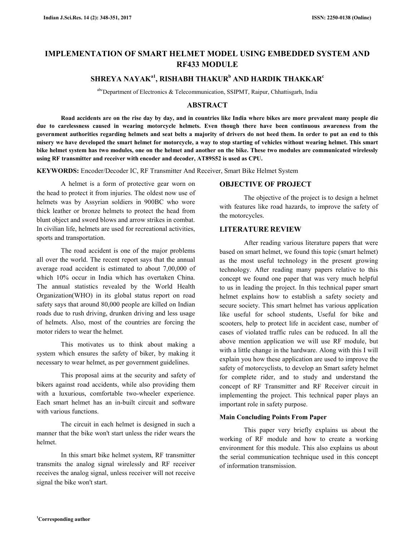# **IMPLEMENTATION OF SMART HELMET MODEL USING EMBEDDED SYSTEM AND RF433 MODULE**

## **SHREYA NAYAKa1, RISHABH THAKUR<sup>b</sup> AND HARDIK THAKKAR<sup>c</sup>**

abcDepartment of Electronics & Telecommunication, SSIPMT, Raipur, Chhattisgarh, India

### **ABSTRACT**

 **Road accidents are on the rise day by day, and in countries like India where bikes are more prevalent many people die due to carelessness caused in wearing motorcycle helmets. Even though there have been continuous awareness from the government authorities regarding helmets and seat belts a majority of drivers do not heed them. In order to put an end to this misery we have developed the smart helmet for motorcycle, a way to stop starting of vehicles without wearing helmet. This smart bike helmet system has two modules, one on the helmet and another on the bike. These two modules are communicated wirelessly using RF transmitter and receiver with encoder and decoder, AT89S52 is used as CPU.** 

**KEYWORDS:** Encoder/Decoder IC, RF Transmitter And Receiver, Smart Bike Helmet System

 A helmet is a form of protective gear worn on the head to protect it from injuries. The oldest now use of helmets was by Assyrian soldiers in 900BC who wore thick leather or bronze helmets to protect the head from blunt object and sword blows and arrow strikes in combat. In civilian life, helmets are used for recreational activities, sports and transportation.

 The road accident is one of the major problems all over the world. The recent report says that the annual average road accident is estimated to about 7,00,000 of which 10% occur in India which has overtaken China. The annual statistics revealed by the World Health Organization(WHO) in its global status report on road safety says that around 80,000 people are killed on Indian roads due to rush driving, drunken driving and less usage of helmets. Also, most of the countries are forcing the motor riders to wear the helmet.

 This motivates us to think about making a system which ensures the safety of biker, by making it necessary to wear helmet, as per government guidelines.

 This proposal aims at the security and safety of bikers against road accidents, while also providing them with a luxurious, comfortable two-wheeler experience. Each smart helmet has an in-built circuit and software with various functions.

 The circuit in each helmet is designed in such a manner that the bike won't start unless the rider wears the helmet.

 In this smart bike helmet system, RF transmitter transmits the analog signal wirelessly and RF receiver receives the analog signal, unless receiver will not receive signal the bike won't start.

#### **OBJECTIVE OF PROJECT**

 The objective of the project is to design a helmet with features like road hazards, to improve the safety of the motorcycles.

#### **LITERATURE REVIEW**

 After reading various literature papers that were based on smart helmet, we found this topic (smart helmet) as the most useful technology in the present growing technology. After reading many papers relative to this concept we found one paper that was very much helpful to us in leading the project. In this technical paper smart helmet explains how to establish a safety society and secure society. This smart helmet has various application like useful for school students, Useful for bike and scooters, help to protect life in accident case, number of cases of violated traffic rules can be reduced. In all the above mention application we will use RF module, but with a little change in the hardware. Along with this I will explain you how these application are used to improve the safety of motorcyclists, to develop an Smart safety helmet for complete rider, and to study and understand the concept of RF Transmitter and RF Receiver circuit in implementing the project. This technical paper plays an important role in safety purpose.

#### **Main Concluding Points From Paper**

 This paper very briefly explains us about the working of RF module and how to create a working environment for this module. This also explains us about the serial communication technique used in this concept of information transmission.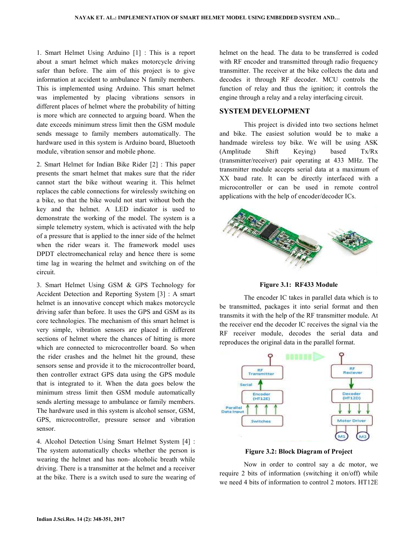1. Smart Helmet Using Arduino [1] : This is a report about a smart helmet which makes motorcycle driving safer than before. The aim of this project is to give information at accident to ambulance N family members. This is implemented using Arduino. This smart helmet was implemented by placing vibrations sensors in different places of helmet where the probability of hitting is more which are connected to arguing board. When the date exceeds minimum stress limit then the GSM module sends message to family members automatically. The hardware used in this system is Arduino board, Bluetooth module, vibration sensor and mobile phone.

2. Smart Helmet for Indian Bike Rider [2] : This paper presents the smart helmet that makes sure that the rider cannot start the bike without wearing it. This helmet replaces the cable connections for wirelessly switching on a bike, so that the bike would not start without both the key and the helmet. A LED indicator is used to demonstrate the working of the model. The system is a simple telemetry system, which is activated with the help of a pressure that is applied to the inner side of the helmet when the rider wears it. The framework model uses DPDT electromechanical relay and hence there is some time lag in wearing the helmet and switching on of the circuit.

3. Smart Helmet Using GSM & GPS Technology for Accident Detection and Reporting System [3] : A smart helmet is an innovative concept which makes motorcycle driving safer than before. It uses the GPS and GSM as its core technologies. The mechanism of this smart helmet is very simple, vibration sensors are placed in different sections of helmet where the chances of hitting is more which are connected to microcontroller board. So when the rider crashes and the helmet hit the ground, these sensors sense and provide it to the microcontroller board, then controller extract GPS data using the GPS module that is integrated to it. When the data goes below the minimum stress limit then GSM module automatically sends alerting message to ambulance or family members. The hardware used in this system is alcohol sensor, GSM, GPS, microcontroller, pressure sensor and vibration sensor.

4. Alcohol Detection Using Smart Helmet System [4] : The system automatically checks whether the person is wearing the helmet and has non- alcoholic breath while driving. There is a transmitter at the helmet and a receiver at the bike. There is a switch used to sure the wearing of helmet on the head. The data to be transferred is coded with RF encoder and transmitted through radio frequency transmitter. The receiver at the bike collects the data and decodes it through RF decoder. MCU controls the function of relay and thus the ignition; it controls the engine through a relay and a relay interfacing circuit.

#### **SYSTEM DEVELOPMENT**

 This project is divided into two sections helmet and bike. The easiest solution would be to make a handmade wireless toy bike. We will be using ASK (Amplitude Shift Keying) based Tx/Rx (transmitter/receiver) pair operating at 433 MHz. The transmitter module accepts serial data at a maximum of XX baud rate. It can be directly interfaced with a microcontroller or can be used in remote control applications with the help of encoder/decoder ICs.



**Figure 3.1: RF433 Module** 

 The encoder IC takes in parallel data which is to be transmitted, packages it into serial format and then transmits it with the help of the RF transmitter module. At the receiver end the decoder IC receives the signal via the RF receiver module, decodes the serial data and reproduces the original data in the parallel format.



**Figure 3.2: Block Diagram of Project** 

 Now in order to control say a dc motor, we require 2 bits of information (switching it on/off) while we need 4 bits of information to control 2 motors. HT12E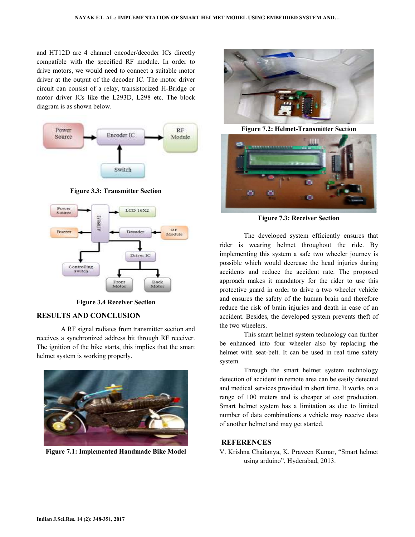and HT12D are 4 channel encoder/decoder ICs directly compatible with the specified RF module. In order to drive motors, we would need to connect a suitable motor driver at the output of the decoder IC. The motor driver circuit can consist of a relay, transistorized H-Bridge or motor driver ICs like the L293D, L298 etc. The block diagram is as shown below.



**Figure 3.3: Transmitter Section** 



**Figure 3.4 Receiver Section** 

#### **RESULTS AND CONCLUSION**

 A RF signal radiates from transmitter section and receives a synchronized address bit through RF receiver. The ignition of the bike starts, this implies that the smart helmet system is working properly.



**Figure 7.1: Implemented Handmade Bike Model** 



**Figure 7.2: Helmet-Transmitter Section** 



**Figure 7.3: Receiver Section** 

 The developed system efficiently ensures that rider is wearing helmet throughout the ride. By implementing this system a safe two wheeler journey is possible which would decrease the head injuries during accidents and reduce the accident rate. The proposed approach makes it mandatory for the rider to use this protective guard in order to drive a two wheeler vehicle and ensures the safety of the human brain and therefore reduce the risk of brain injuries and death in case of an accident. Besides, the developed system prevents theft of the two wheelers.

 This smart helmet system technology can further be enhanced into four wheeler also by replacing the helmet with seat-belt. It can be used in real time safety system.

 Through the smart helmet system technology detection of accident in remote area can be easily detected and medical services provided in short time. It works on a range of 100 meters and is cheaper at cost production. Smart helmet system has a limitation as due to limited number of data combinations a vehicle may receive data of another helmet and may get started.

#### **REFERENCES**

V. Krishna Chaitanya, K. Praveen Kumar, "Smart helmet using arduino", Hyderabad, 2013.